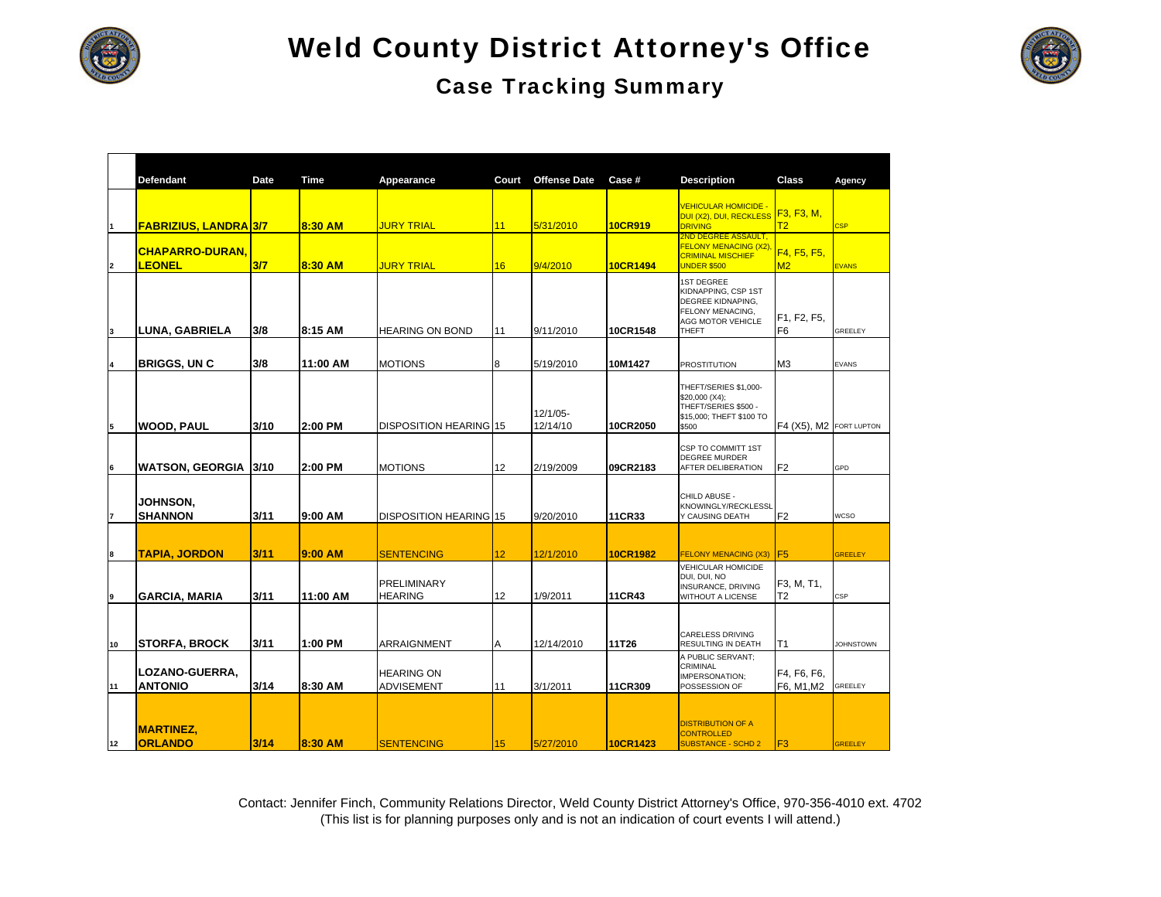

#### Case Tracking Summary



|                | <b>Defendant</b>                        | Date | Time     | Appearance                             | Court           | <b>Offense Date</b>  | Case #   | <b>Description</b>                                                                                                     | Class                         | Agency           |
|----------------|-----------------------------------------|------|----------|----------------------------------------|-----------------|----------------------|----------|------------------------------------------------------------------------------------------------------------------------|-------------------------------|------------------|
|                | <b>FABRIZIUS, LANDRA 3/7</b>            |      | 8:30 AM  | <b>JURY TRIAL</b>                      | 11              | 5/31/2010            | 10CR919  | <b>VEHICULAR HOMICIDE</b><br>DUI (X2), DUI, RECKLESS<br><b>DRIVING</b>                                                 | F3, F3, M,<br>T2              | <b>CSP</b>       |
| $\overline{2}$ | <b>CHAPARRO-DURAN.</b><br><b>LEONEL</b> | 3/7  | 8:30 AM  | <b>JURY TRIAL</b>                      | 16              | 9/4/2010             | 10CR1494 | <b>2ND DEGREE ASSAULT,</b><br><b>FELONY MENACING (X2)</b><br><b>CRIMINAL MISCHIEF</b><br><b>UNDER \$500</b>            | F4, F5, F5,<br>M2             | <b>EVANS</b>     |
| 3              | LUNA, GABRIELA                          | 3/8  | 8:15 AM  | <b>HEARING ON BOND</b>                 | 11              | 9/11/2010            | 10CR1548 | <b>1ST DEGREE</b><br>KIDNAPPING, CSP 1ST<br>DEGREE KIDNAPING,<br>FELONY MENACING,<br><b>AGG MOTOR VEHICLE</b><br>THEFT | F1, F2, F5,<br>F <sub>6</sub> | GREELEY          |
| 4              | <b>BRIGGS, UN C</b>                     | 3/8  | 11:00 AM | <b>MOTIONS</b>                         | 8               | 5/19/2010            | 10M1427  | <b>PROSTITUTION</b>                                                                                                    | M <sub>3</sub>                | <b>EVANS</b>     |
| 5              | <b>WOOD, PAUL</b>                       | 3/10 | 2:00 PM  | <b>DISPOSITION HEARING 15</b>          |                 | 12/1/05-<br>12/14/10 | 10CR2050 | THEFT/SERIES \$1,000-<br>\$20,000 (X4);<br>THEFT/SERIES \$500 -<br>\$15,000; THEFT \$100 TO<br>\$500                   | F4 (X5), M2 FORT LUPTON       |                  |
| 6              | WATSON, GEORGIA                         | 3/10 | 2:00 PM  | <b>MOTIONS</b>                         | 12              | 2/19/2009            | 09CR2183 | CSP TO COMMITT 1ST<br><b>DEGREE MURDER</b><br>AFTER DELIBERATION                                                       | F <sub>2</sub>                | GPD              |
| $\overline{7}$ | <b>JOHNSON,</b><br><b>SHANNON</b>       | 3/11 | 9:00 AM  | <b>DISPOSITION HEARING 15</b>          |                 | 9/20/2010            | 11CR33   | CHILD ABUSE -<br>KNOWINGLY/RECKLESSL<br>Y CAUSING DEATH                                                                | F <sub>2</sub>                | <b>WCSO</b>      |
| 8              | <b>TAPIA, JORDON</b>                    | 3/11 | 9:00 AM  | <b>SENTENCING</b>                      | 12 <sup>2</sup> | 12/1/2010            | 10CR1982 | <b>FELONY MENACING (X3)</b>                                                                                            | F <sub>5</sub>                | <b>GREELEY</b>   |
| 9              | IGARCIA. MARIA                          | 3/11 | 11:00 AM | <b>PRELIMINARY</b><br><b>HEARING</b>   | 12 <sup>2</sup> | 1/9/2011             | 11CR43   | VEHICULAR HOMICIDE<br>DUI, DUI, NO<br>INSURANCE, DRIVING<br><b>WITHOUT A LICENSE</b>                                   | F3, M, T1,<br>T <sub>2</sub>  | CSP              |
| 10             | <b>STORFA, BROCK</b>                    | 3/11 | 1:00 PM  | ARRAIGNMENT                            | Α               | 12/14/2010           | 11T26    | <b>CARELESS DRIVING</b><br>RESULTING IN DEATH                                                                          | T1                            | <b>JOHNSTOWN</b> |
| 11             | LOZANO-GUERRA,<br><b>ANTONIO</b>        | 3/14 | 8:30 AM  | <b>HEARING ON</b><br><b>ADVISEMENT</b> | 11              | 3/1/2011             | 11CR309  | A PUBLIC SERVANT;<br>CRIMINAL<br>IMPERSONATION;<br>POSSESSION OF                                                       | F4, F6, F6,<br>F6, M1, M2     | <b>GREELEY</b>   |
| 12             | <b>MARTINEZ,</b><br><b>ORLANDO</b>      | 3/14 | 8:30 AM  | <b>SENTENCING</b>                      | 15              | 5/27/2010            | 10CR1423 | <b>DISTRIBUTION OF A</b><br><b>CONTROLLED</b><br><b>SUBSTANCE - SCHD 2</b>                                             | F <sub>3</sub>                | <b>GREELEY</b>   |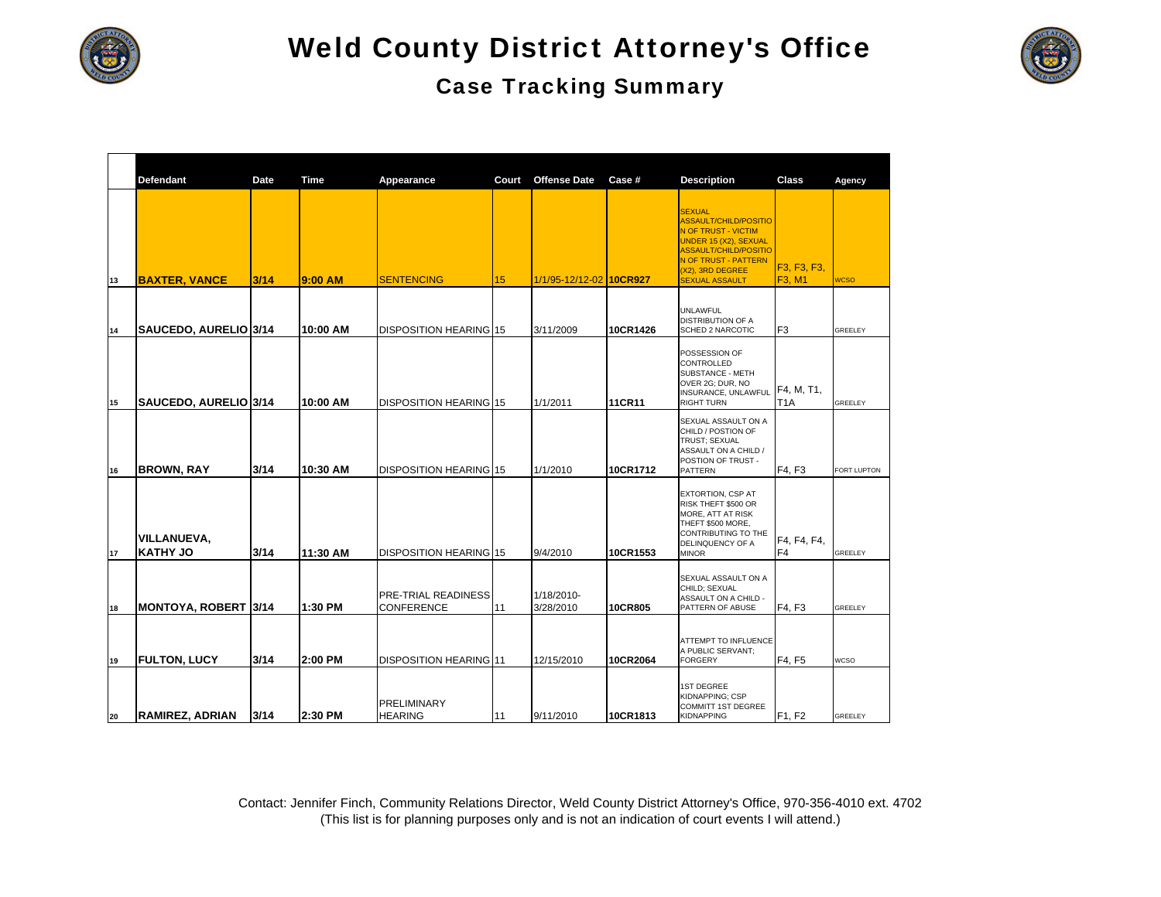



|    | <b>Defendant</b>                      | Date | Time     | Appearance                                      | Court | <b>Offense Date</b>     | Case#    | <b>Description</b>                                                                                                                                                                                               | Class                          | Agency         |
|----|---------------------------------------|------|----------|-------------------------------------------------|-------|-------------------------|----------|------------------------------------------------------------------------------------------------------------------------------------------------------------------------------------------------------------------|--------------------------------|----------------|
| 13 | <b>BAXTER, VANCE</b>                  | 3/14 | 9:00 AM  | <b>SENTENCING</b>                               | 15    | 1/1/95-12/12-02 10CR927 |          | <b>SEXUAL</b><br><b>ASSAULT/CHILD/POSITIO</b><br><b>N OF TRUST - VICTIM</b><br>UNDER 15 (X2), SEXUAL<br><b>ASSAULT/CHILD/POSITIO</b><br><b>N OF TRUST - PATTERN</b><br>(X2), 3RD DEGREE<br><b>SEXUAL ASSAULT</b> | F3, F3, F3,<br>F3, M1          | <b>NCSO</b>    |
| 14 | SAUCEDO, AURELIO 3/14                 |      | 10:00 AM | <b>DISPOSITION HEARING 15</b>                   |       | 3/11/2009               | 10CR1426 | <b>UNLAWFUL</b><br><b>DISTRIBUTION OF A</b><br><b>SCHED 2 NARCOTIC</b>                                                                                                                                           | F <sub>3</sub>                 | GREELEY        |
| 15 | SAUCEDO, AURELIO 3/14                 |      | 10:00 AM | <b>DISPOSITION HEARING 15</b>                   |       | 1/1/2011                | 11CR11   | POSSESSION OF<br>CONTROLLED<br>SUBSTANCE - METH<br>OVER 2G; DUR, NO<br>INSURANCE, UNLAWFUL<br><b>RIGHT TURN</b>                                                                                                  | F4, M, T1,<br>T <sub>1</sub> A | GREELEY        |
| 16 | <b>BROWN, RAY</b>                     | 3/14 | 10:30 AM | <b>DISPOSITION HEARING 15</b>                   |       | 1/1/2010                | 10CR1712 | SEXUAL ASSAULT ON A<br>CHILD / POSTION OF<br>TRUST; SEXUAL<br>ASSAULT ON A CHILD /<br>POSTION OF TRUST -<br>PATTERN                                                                                              | F4, F3                         | FORT LUPTON    |
| 17 | <b>VILLANUEVA,</b><br><b>KATHY JO</b> | 3/14 | 11:30 AM | <b>DISPOSITION HEARING 15</b>                   |       | 9/4/2010                | 10CR1553 | EXTORTION, CSP AT<br>RISK THEFT \$500 OR<br>MORE, ATT AT RISK<br>THEFT \$500 MORE,<br>CONTRIBUTING TO THE<br>DELINQUENCY OF A<br><b>MINOR</b>                                                                    | F4, F4, F4,<br>F <sub>4</sub>  | GREELEY        |
| 18 | <b>MONTOYA, ROBERT 3/14</b>           |      | 1:30 PM  | <b>PRE-TRIAL READINESS</b><br><b>CONFERENCE</b> | 11    | 1/18/2010-<br>3/28/2010 | 10CR805  | SEXUAL ASSAULT ON A<br>CHILD; SEXUAL<br>ASSAULT ON A CHILD -<br>PATTERN OF ABUSE                                                                                                                                 | F4, F3                         | <b>GREELEY</b> |
| 19 | <b>FULTON, LUCY</b>                   | 3/14 | 2:00 PM  | <b>DISPOSITION HEARING 11</b>                   |       | 12/15/2010              | 10CR2064 | ATTEMPT TO INFLUENCE<br>A PUBLIC SERVANT;<br><b>FORGERY</b>                                                                                                                                                      | F4, F5                         | <b>WCSO</b>    |
| 20 | <b>RAMIREZ, ADRIAN</b>                | 3/14 | 2:30 PM  | <b>PRELIMINARY</b><br><b>HEARING</b>            | 11    | 9/11/2010               | 10CR1813 | <b>1ST DEGREE</b><br>KIDNAPPING; CSP<br><b>COMMITT 1ST DEGREE</b><br><b>KIDNAPPING</b>                                                                                                                           | F1, F2                         | <b>GREELEY</b> |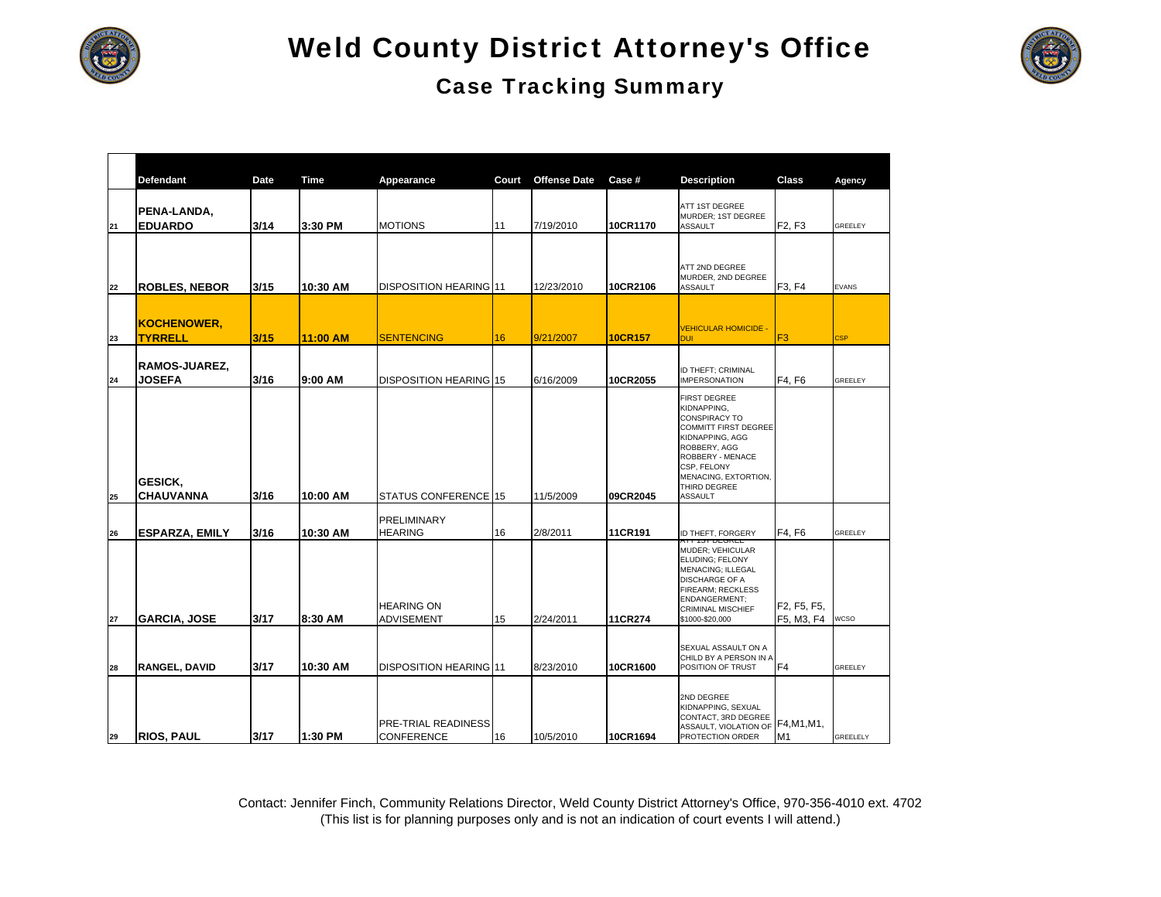

### Case Tracking Summary

|    | <b>Defendant</b>                     | Date | Time     | Appearance                               | Court | <b>Offense Date</b> | Case#          | <b>Description</b>                                                                                                                                                                                                        | Class                                                            | Agency          |
|----|--------------------------------------|------|----------|------------------------------------------|-------|---------------------|----------------|---------------------------------------------------------------------------------------------------------------------------------------------------------------------------------------------------------------------------|------------------------------------------------------------------|-----------------|
| 21 | PENA-LANDA,<br><b>EDUARDO</b>        | 3/14 | 3:30 PM  | <b>MOTIONS</b>                           | 11    | 7/19/2010           | 10CR1170       | <b>ATT 1ST DEGREE</b><br>MURDER; 1ST DEGREE<br><b>ASSAULT</b>                                                                                                                                                             | F2, F3                                                           | <b>GREELEY</b>  |
| 22 | <b>ROBLES, NEBOR</b>                 | 3/15 | 10:30 AM | DISPOSITION HEARING 11                   |       | 12/23/2010          | 10CR2106       | ATT 2ND DEGREE<br>MURDER, 2ND DEGREE<br><b>ASSAULT</b>                                                                                                                                                                    | F3, F4                                                           | <b>EVANS</b>    |
| 23 | <b>KOCHENOWER,</b><br><b>TYRRELL</b> | 3/15 | 11:00 AM | <b>SENTENCING</b>                        | 16    | 9/21/2007           | <b>10CR157</b> | <b>VEHICULAR HOMICIDE -</b><br><b>DUI</b>                                                                                                                                                                                 | F <sub>3</sub>                                                   | <b>CSP</b>      |
| 24 | RAMOS-JUAREZ,<br><b>JOSEFA</b>       | 3/16 | 9:00 AM  | <b>DISPOSITION HEARING 15</b>            |       | 6/16/2009           | 10CR2055       | ID THEFT; CRIMINAL<br><b>IMPERSONATION</b>                                                                                                                                                                                | F4, F6                                                           | <b>GREELEY</b>  |
| 25 | <b>GESICK,</b><br><b>CHAUVANNA</b>   | 3/16 | 10:00 AM | STATUS CONFERENCE 15                     |       | 11/5/2009           | 09CR2045       | <b>FIRST DEGREE</b><br>KIDNAPPING,<br><b>CONSPIRACY TO</b><br><b>COMMITT FIRST DEGREE</b><br>KIDNAPPING, AGG<br>ROBBERY, AGG<br>ROBBERY - MENACE<br>CSP, FELONY<br>MENACING, EXTORTION,<br>THIRD DEGREE<br><b>ASSAULT</b> |                                                                  |                 |
| 26 | <b>ESPARZA, EMILY</b>                | 3/16 | 10:30 AM | <b>PRELIMINARY</b><br><b>HEARING</b>     | 16    | 2/8/2011            | 11CR191        | ID THEFT, FORGERY                                                                                                                                                                                                         | F4, F6                                                           | <b>GREELEY</b>  |
| 27 | <b>GARCIA, JOSE</b>                  | 3/17 | 8:30 AM  | <b>HEARING ON</b><br><b>ADVISEMENT</b>   | 15    | 2/24/2011           | 11CR274        | MUDER; VEHICULAR<br>ELUDING; FELONY<br><b>MENACING; ILLEGAL</b><br><b>DISCHARGE OF A</b><br>FIREARM; RECKLESS<br>ENDANGERMENT;<br><b>CRIMINAL MISCHIEF</b><br>\$1000-\$20,000                                             | F <sub>2</sub> , F <sub>5</sub> , F <sub>5</sub> ,<br>F5, M3, F4 | <b>WCSO</b>     |
| 28 | <b>RANGEL, DAVID</b>                 | 3/17 | 10:30 AM | DISPOSITION HEARING 11                   |       | 8/23/2010           | 10CR1600       | SEXUAL ASSAULT ON A<br>CHILD BY A PERSON IN A<br>POSITION OF TRUST                                                                                                                                                        | F <sub>4</sub>                                                   | <b>GREELEY</b>  |
| 29 | <b>RIOS, PAUL</b>                    | 3/17 | 1:30 PM  | PRE-TRIAL READINESS<br><b>CONFERENCE</b> | 16    | 10/5/2010           | 10CR1694       | 2ND DEGREE<br>KIDNAPPING, SEXUAL<br>CONTACT, 3RD DEGREE<br>ASSAULT, VIOLATION OF<br>PROTECTION ORDER                                                                                                                      | F4, M1, M1,<br>M1                                                | <b>GREELELY</b> |

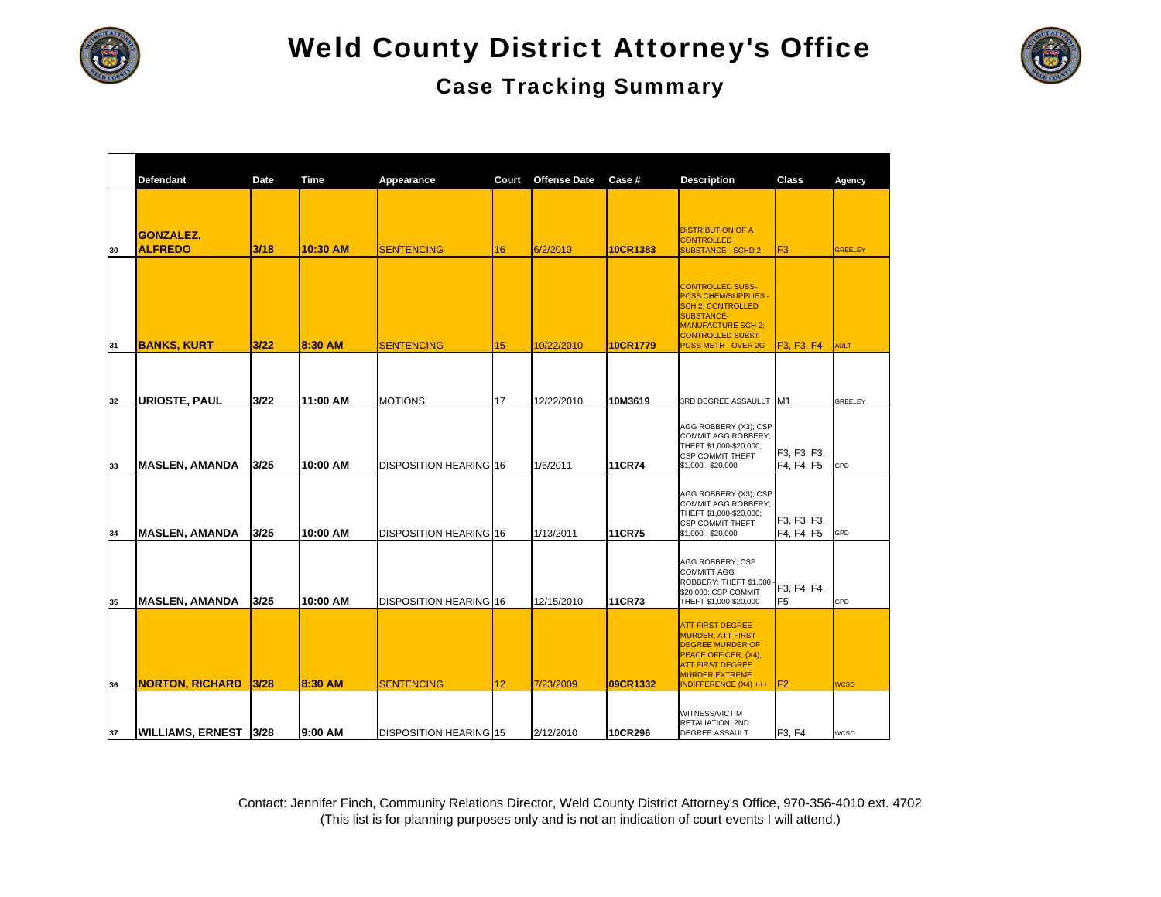

|                                    |      |             |                               |       | <b>Case Tracking Summary</b> |                 |                                                                                                                                                                  |                           |                |
|------------------------------------|------|-------------|-------------------------------|-------|------------------------------|-----------------|------------------------------------------------------------------------------------------------------------------------------------------------------------------|---------------------------|----------------|
| Defendant                          | Date | <b>Time</b> | Appearance                    | Court | <b>Offense Date</b>          | Case #          | <b>Description</b>                                                                                                                                               | Class                     | Agency         |
| <b>GONZALEZ,</b><br><b>ALFREDO</b> | 3/18 | 10:30 AM    | <b>SENTENCING</b>             | 16    | 6/2/2010                     | <b>10CR1383</b> | <b>DISTRIBUTION OF A</b><br><b>CONTROLLED</b><br><b>SUBSTANCE - SCHD 2</b>                                                                                       | IF <sub>3</sub>           | <b>GREELEY</b> |
|                                    |      |             |                               |       |                              |                 | <b>CONTROLLED SUBS-</b><br><b>POSS CHEM/SUPPLIES -</b><br><b>SCH 2: CONTROLLED</b><br><b>SUBSTANCE-</b><br><b>MANUFACTURE SCH 2;</b><br><b>CONTROLLED SUBST-</b> |                           |                |
| <b>BANKS, KURT</b>                 | 3/22 | 8:30 AM     | <b>SENTENCING</b>             | 15    | 10/22/2010                   | 10CR1779        | POSS METH - OVER 2G                                                                                                                                              | F3, F3, F4                | <b>AULT</b>    |
| URIOSTE, PAUL                      | 3/22 | 11:00 AM    | <b>MOTIONS</b>                | 17    | 12/22/2010                   | 10M3619         | 3RD DEGREE ASSAULLT M1                                                                                                                                           |                           | <b>GREELEY</b> |
| MASLEN, AMANDA                     | 3/25 | 10:00 AM    | <b>DISPOSITION HEARING 16</b> |       | 1/6/2011                     | <b>11CR74</b>   | AGG ROBBERY (X3); CSP<br><b>COMMIT AGG ROBBERY:</b><br>THEFT \$1,000-\$20,000;<br><b>CSP COMMIT THEFT</b><br>\$1,000 - \$20,000                                  | F3, F3, F3,<br>F4, F4, F5 | GPD            |
| MASLEN, AMANDA                     | 3/25 | 10:00 AM    | <b>DISPOSITION HEARING 16</b> |       | 1/13/2011                    | <b>11CR75</b>   | AGG ROBBERY (X3); CSP<br><b>COMMIT AGG ROBBERY:</b><br>THEFT \$1,000-\$20,000;<br><b>CSP COMMIT THEFT</b><br>\$1,000 - \$20,000                                  | F3, F3, F3,<br>F4, F4, F5 | GPD            |
|                                    |      |             |                               |       |                              |                 | AGG ROBBERY; CSP<br><b>COMMITT AGG</b><br>ROBBERY; THEFT \$1,000 F EA EA                                                                                         |                           |                |

|    | <b>GONZALEZ,</b>       |      |          |                               |    |            |                 | <b>DISTRIBUTION OF A</b><br><b>CONTROLLED</b>                                                                                                                                           |                                                  |                |
|----|------------------------|------|----------|-------------------------------|----|------------|-----------------|-----------------------------------------------------------------------------------------------------------------------------------------------------------------------------------------|--------------------------------------------------|----------------|
| 30 | <b>ALFREDO</b>         | 3/18 | 10:30 AM | <b>SENTENCING</b>             | 16 | 6/2/2010   | 10CR1383        | <b>SUBSTANCE - SCHD 2</b>                                                                                                                                                               | F <sub>3</sub>                                   | <b>GREELEY</b> |
| 31 | <b>BANKS, KURT</b>     | 3/22 | 8:30 AM  | <b>SENTENCING</b>             | 15 | 10/22/2010 | <b>10CR1779</b> | <b>CONTROLLED SUBS-</b><br><b>POSS CHEM/SUPPLIES -</b><br><b>SCH 2; CONTROLLED</b><br><b>SUBSTANCE-</b><br><b>MANUFACTURE SCH 2:</b><br><b>CONTROLLED SUBST-</b><br>POSS METH - OVER 2G | F <sub>3</sub> , F <sub>3</sub> , F <sub>4</sub> | <b>AULT</b>    |
|    |                        |      |          |                               |    |            |                 |                                                                                                                                                                                         |                                                  |                |
| 32 | <b>URIOSTE, PAUL</b>   | 3/22 | 11:00 AM | <b>MOTIONS</b>                | 17 | 12/22/2010 | 10M3619         | 3RD DEGREE ASSAULLT M1                                                                                                                                                                  |                                                  | <b>GREELEY</b> |
| 33 | <b>MASLEN, AMANDA</b>  | 3/25 | 10:00 AM | <b>DISPOSITION HEARING 16</b> |    | 1/6/2011   | 11CR74          | AGG ROBBERY (X3); CSP<br><b>COMMIT AGG ROBBERY:</b><br>THEFT \$1,000-\$20,000;<br><b>CSP COMMIT THEFT</b><br>\$1,000 - \$20,000                                                         | F3, F3, F3,<br>F4, F4, F5                        | GPD            |
| 34 | <b>MASLEN, AMANDA</b>  | 3/25 | 10:00 AM | <b>DISPOSITION HEARING 16</b> |    | 1/13/2011  | 11CR75          | AGG ROBBERY (X3); CSP<br><b>COMMIT AGG ROBBERY:</b><br>THEFT \$1,000-\$20,000;<br><b>CSP COMMIT THEFT</b><br>\$1,000 - \$20,000                                                         | F3, F3, F3,<br>F4, F4, F5                        | GPD            |
| 35 | <b>MASLEN, AMANDA</b>  | 3/25 | 10:00 AM | <b>DISPOSITION HEARING 16</b> |    | 12/15/2010 | <b>11CR73</b>   | AGG ROBBERY; CSP<br><b>COMMITT AGG</b><br>ROBBERY; THEFT \$1,000<br>\$20,000; CSP COMMIT<br>THEFT \$1,000-\$20,000                                                                      | F3, F4, F4,<br>F <sub>5</sub>                    | GPD            |
| 36 | <b>NORTON, RICHARD</b> | 3/28 | 8:30 AM  | <b>SENTENCING</b>             | 12 | 7/23/2009  | 09CR1332        | <b>ATT FIRST DEGREE</b><br><b>MURDER, ATT FIRST</b><br><b>DEGREE MURDER OF</b><br>PEACE OFFICER, (X4),<br><b>ATT FIRST DEGREE</b><br><b>MURDER EXTREME</b><br>INDIFFERENCE (X4) +++     | F <sub>2</sub>                                   | <b>WCSO</b>    |
| 37 | WILLIAMS, ERNEST  3/28 |      | 19:00 AM | <b>DISPOSITION HEARING 15</b> |    | 2/12/2010  | 10CR296         | WITNESS/VICTIM<br>RETALIATION, 2ND<br><b>DEGREE ASSAULT</b>                                                                                                                             | F3, F4                                           | <b>WCSO</b>    |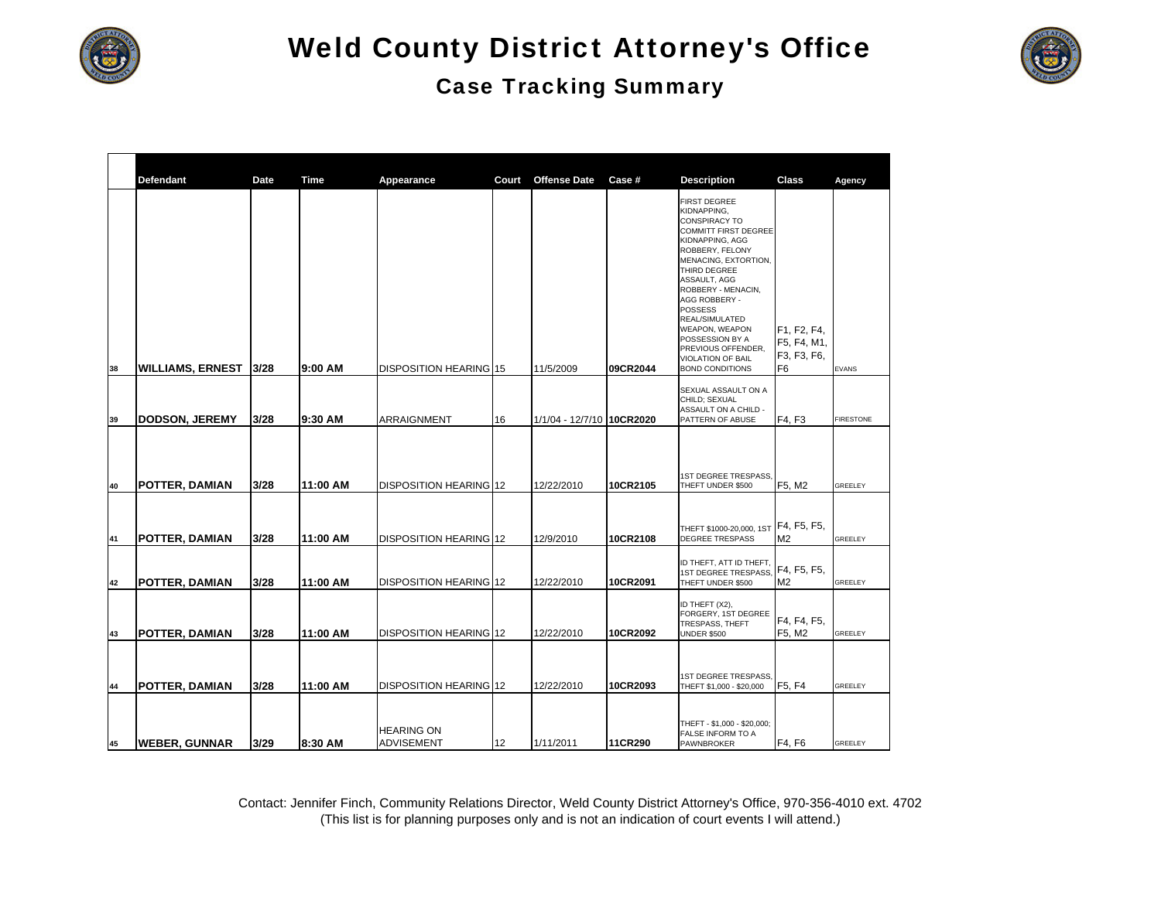

#### Case Tracking Summary



|          | <b>Defendant</b>                               | Date         | <b>Time</b>          |                                                         | Court | <b>Offense Date</b>       | Case #               |                                                                                                                                                                                                                                                                                                                                                                                             | Class                                           |                        |
|----------|------------------------------------------------|--------------|----------------------|---------------------------------------------------------|-------|---------------------------|----------------------|---------------------------------------------------------------------------------------------------------------------------------------------------------------------------------------------------------------------------------------------------------------------------------------------------------------------------------------------------------------------------------------------|-------------------------------------------------|------------------------|
| 38       | <b>WILLIAMS, ERNEST</b>                        | 3/28         | 9:00 AM              | Appearance<br><b>DISPOSITION HEARING 15</b>             |       | 11/5/2009                 | 09CR2044             | <b>Description</b><br><b>FIRST DEGREE</b><br>KIDNAPPING,<br>CONSPIRACY TO<br><b>COMMITT FIRST DEGREE</b><br>KIDNAPPING, AGG<br>ROBBERY, FELONY<br>MENACING, EXTORTION,<br>THIRD DEGREE<br>ASSAULT, AGG<br>ROBBERY - MENACIN,<br>AGG ROBBERY -<br><b>POSSESS</b><br>REAL/SIMULATED<br>WEAPON, WEAPON<br>POSSESSION BY A<br>PREVIOUS OFFENDER,<br>VIOLATION OF BAIL<br><b>BOND CONDITIONS</b> | F1, F2, F4,<br>F5, F4, M1,<br>F3, F3, F6,<br>F6 | Agency<br><b>EVANS</b> |
|          |                                                |              |                      |                                                         |       |                           |                      | SEXUAL ASSAULT ON A<br>CHILD; SEXUAL<br>ASSAULT ON A CHILD -                                                                                                                                                                                                                                                                                                                                |                                                 |                        |
| 39       | DODSON, JEREMY                                 | 3/28         | 9:30 AM              | ARRAIGNMENT                                             | 16    | 1/1/04 - 12/7/10 10CR2020 |                      | PATTERN OF ABUSE                                                                                                                                                                                                                                                                                                                                                                            | F4, F3                                          | <b>FIRESTONE</b>       |
| 40<br>41 | <b>POTTER, DAMIAN</b><br><b>POTTER, DAMIAN</b> | 3/28<br>3/28 | 11:00 AM<br>11:00 AM | DISPOSITION HEARING 12<br><b>DISPOSITION HEARING 12</b> |       | 12/22/2010<br>12/9/2010   | 10CR2105<br>10CR2108 | 1ST DEGREE TRESPASS.<br>THEFT UNDER \$500<br>THEFT \$1000-20,000, 1ST<br><b>DEGREE TRESPASS</b>                                                                                                                                                                                                                                                                                             | F5, M2<br>F4, F5, F5,<br>M <sub>2</sub>         | GREELEY<br>GREELEY     |
|          |                                                |              |                      |                                                         |       |                           |                      | ID THEFT, ATT ID THEFT.<br>1ST DEGREE TRESPASS.                                                                                                                                                                                                                                                                                                                                             | F4, F5, F5,                                     |                        |
| 42       | POTTER, DAMIAN                                 | 3/28         | 11:00 AM             | <b>DISPOSITION HEARING 12</b>                           |       | 12/22/2010                | 10CR2091             | THEFT UNDER \$500                                                                                                                                                                                                                                                                                                                                                                           | M <sub>2</sub>                                  | GREELEY                |
| 43       | <b>POTTER, DAMIAN</b>                          | 3/28         | 11:00 AM             | <b>DISPOSITION HEARING 12</b>                           |       | 12/22/2010                | 10CR2092             | ID THEFT (X2),<br>FORGERY, 1ST DEGREE<br>TRESPASS, THEFT<br><b>UNDER \$500</b>                                                                                                                                                                                                                                                                                                              | F4, F4, F5,<br>F5, M2                           | <b>GREELEY</b>         |
|          |                                                |              |                      |                                                         |       |                           |                      | 1ST DEGREE TRESPASS,                                                                                                                                                                                                                                                                                                                                                                        |                                                 |                        |
| 44       | POTTER, DAMIAN                                 | 3/28         | 11:00 AM             | <b>DISPOSITION HEARING 12</b>                           |       | 12/22/2010                | 10CR2093             | THEFT \$1,000 - \$20,000                                                                                                                                                                                                                                                                                                                                                                    | F <sub>5</sub> , F <sub>4</sub>                 | <b>GREELEY</b>         |
| 45       | <b>WEBER, GUNNAR</b>                           | 3/29         | 8:30 AM              | <b>HEARING ON</b><br><b>ADVISEMENT</b>                  | 12    | 1/11/2011                 | 11CR290              | THEFT - \$1,000 - \$20,000;<br>FALSE INFORM TO A<br>PAWNBROKER                                                                                                                                                                                                                                                                                                                              | F4, F6                                          | <b>GREELEY</b>         |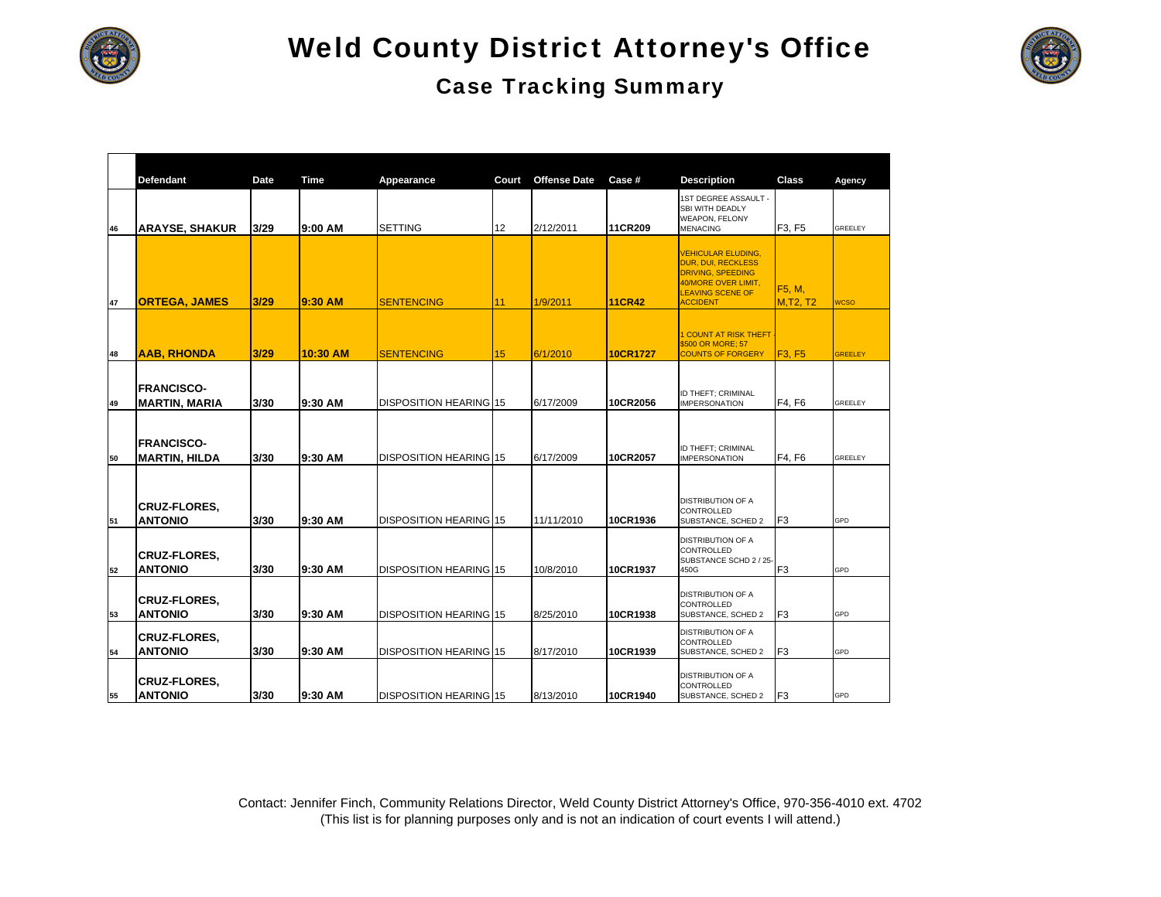

### Case Tracking Summary

|    | <b>Defendant</b>                          | Date | <b>Time</b> | Appearance                    | Court | <b>Offense Date</b> | Case #          | <b>Description</b>                                                                                                                                      | <b>Class</b>               | Agency         |
|----|-------------------------------------------|------|-------------|-------------------------------|-------|---------------------|-----------------|---------------------------------------------------------------------------------------------------------------------------------------------------------|----------------------------|----------------|
| 46 | <b>ARAYSE, SHAKUR</b>                     | 3/29 | 9:00 AM     | <b>SETTING</b>                | 12    | 2/12/2011           | 11CR209         | <b>IST DEGREE ASSAULT -</b><br>SBI WITH DEADLY<br><b>WEAPON, FELONY</b><br><b>MENACING</b>                                                              | F3, F5                     | <b>GREELEY</b> |
| 47 | <b>ORTEGA, JAMES</b>                      | 3/29 | 9:30 AM     | <b>SENTENCING</b>             | 11    | 1/9/2011            | <b>11CR42</b>   | <b>VEHICULAR ELUDING,</b><br><b>DUR, DUI, RECKLESS</b><br><b>DRIVING, SPEEDING</b><br>40/MORE OVER LIMIT,<br><b>LEAVING SCENE OF</b><br><b>ACCIDENT</b> | F5, M,<br><b>M, T2, T2</b> | <b>WCSO</b>    |
| 48 | <b>AAB, RHONDA</b>                        | 3/29 | 10:30 AM    | <b>SENTENCING</b>             | 15    | 6/1/2010            | <b>10CR1727</b> | <b>COUNT AT RISK THEFT</b><br>\$500 OR MORE; 57<br><b>COUNTS OF FORGERY</b>                                                                             | <b>F3, F5</b>              | <b>GREELEY</b> |
| 49 | <b>FRANCISCO-</b><br><b>MARTIN, MARIA</b> | 3/30 | 9:30 AM     | DISPOSITION HEARING 15        |       | 6/17/2009           | 10CR2056        | ID THEFT; CRIMINAL<br><b>IMPERSONATION</b>                                                                                                              | F4. F6                     | <b>GREELEY</b> |
| 50 | <b>FRANCISCO-</b><br><b>MARTIN, HILDA</b> | 3/30 | 9:30 AM     | <b>DISPOSITION HEARING 15</b> |       | 6/17/2009           | 10CR2057        | ID THEFT; CRIMINAL<br><b>IMPERSONATION</b>                                                                                                              | F4, F6                     | <b>GREELEY</b> |
| 51 | <b>CRUZ-FLORES.</b><br><b>ANTONIO</b>     | 3/30 | 9:30 AM     | DISPOSITION HEARING 15        |       | 11/11/2010          | 10CR1936        | <b>DISTRIBUTION OF A</b><br>CONTROLLED<br>SUBSTANCE, SCHED 2                                                                                            | F <sub>3</sub>             | GPD            |
| 52 | <b>CRUZ-FLORES.</b><br><b>ANTONIO</b>     | 3/30 | 9:30 AM     | DISPOSITION HEARING 15        |       | 10/8/2010           | 10CR1937        | <b>DISTRIBUTION OF A</b><br>CONTROLLED<br>SUBSTANCE SCHD 2 / 25-<br>450G                                                                                | F <sub>3</sub>             | GPD            |
| 53 | <b>CRUZ-FLORES.</b><br><b>ANTONIO</b>     | 3/30 | 9:30 AM     | DISPOSITION HEARING 15        |       | 8/25/2010           | 10CR1938        | <b>DISTRIBUTION OF A</b><br>CONTROLLED<br>SUBSTANCE, SCHED 2                                                                                            | F <sub>3</sub>             | GPD            |
| 54 | <b>CRUZ-FLORES.</b><br><b>ANTONIO</b>     | 3/30 | 9:30 AM     | DISPOSITION HEARING 15        |       | 8/17/2010           | 10CR1939        | <b>DISTRIBUTION OF A</b><br>CONTROLLED<br>SUBSTANCE, SCHED 2                                                                                            | F <sub>3</sub>             | GPD            |
| 55 | <b>CRUZ-FLORES,</b><br><b>ANTONIO</b>     | 3/30 | 9:30 AM     | DISPOSITION HEARING 15        |       | 8/13/2010           | 10CR1940        | <b>DISTRIBUTION OF A</b><br>CONTROLLED<br>SUBSTANCE, SCHED 2                                                                                            | F <sub>3</sub>             | GPD            |

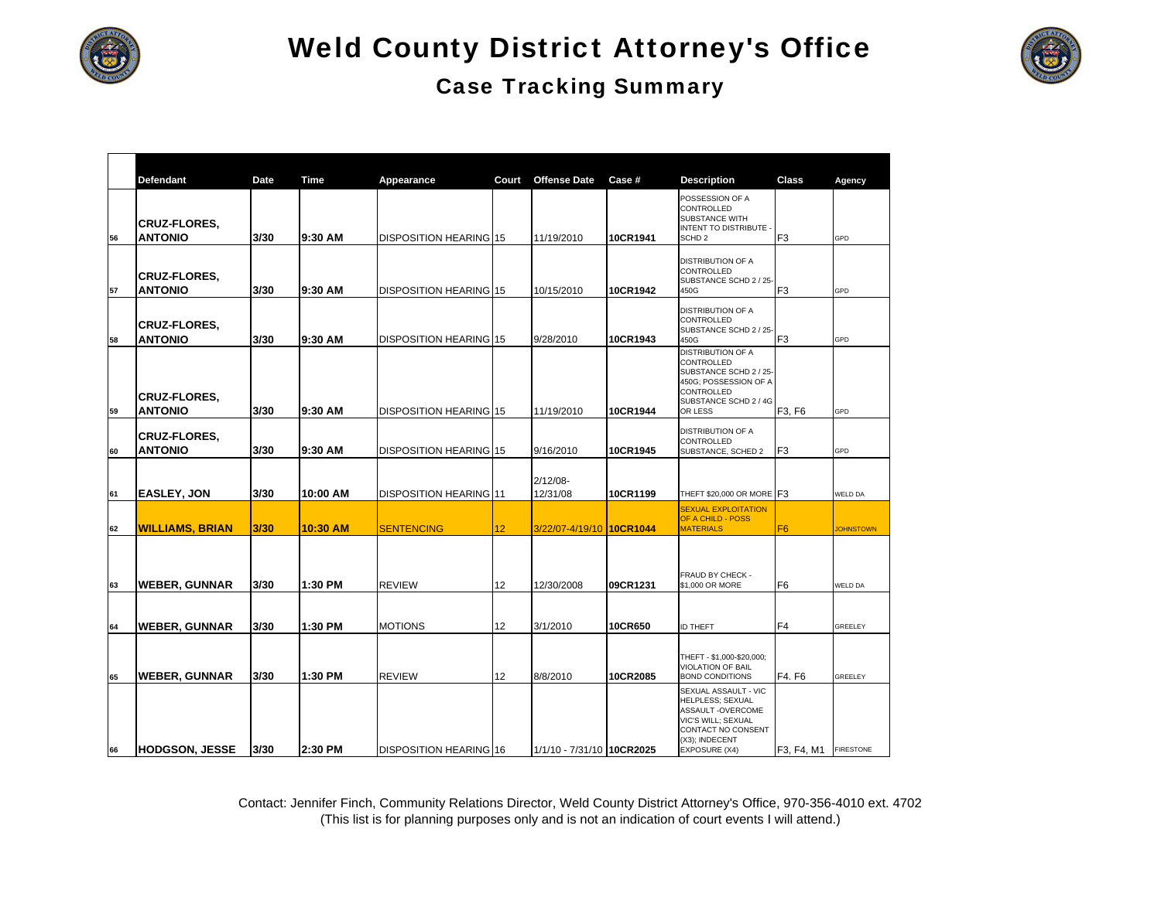

### Case Tracking Summary

|    | <b>Defendant</b>       | Date | Time     | Appearance                    | Court | <b>Offense Date</b>       | Case #   | <b>Description</b>                               | Class          | Agency           |
|----|------------------------|------|----------|-------------------------------|-------|---------------------------|----------|--------------------------------------------------|----------------|------------------|
|    |                        |      |          |                               |       |                           |          | POSSESSION OF A<br>CONTROLLED                    |                |                  |
|    | <b>CRUZ-FLORES,</b>    |      |          |                               |       |                           |          | SUBSTANCE WITH                                   |                |                  |
| 56 | <b>ANTONIO</b>         | 3/30 | 9:30 AM  | DISPOSITION HEARING 15        |       | 11/19/2010                | 10CR1941 | <b>INTENT TO DISTRIBUTE</b><br>SCHD <sub>2</sub> | F <sub>3</sub> | GPD              |
|    |                        |      |          |                               |       |                           |          |                                                  |                |                  |
|    | <b>CRUZ-FLORES,</b>    |      |          |                               |       |                           |          | <b>DISTRIBUTION OF A</b><br>CONTROLLED           |                |                  |
| 57 | <b>ANTONIO</b>         | 3/30 | 9:30 AM  | DISPOSITION HEARING 15        |       | 10/15/2010                | 10CR1942 | SUBSTANCE SCHD 2 / 25<br>450G                    | F <sub>3</sub> | GPD              |
|    |                        |      |          |                               |       |                           |          | <b>DISTRIBUTION OF A</b>                         |                |                  |
|    | <b>CRUZ-FLORES,</b>    |      |          |                               |       |                           |          | <b>CONTROLLED</b>                                |                |                  |
| 58 | <b>ANTONIO</b>         | 3/30 | 9:30 AM  | DISPOSITION HEARING 15        |       | 9/28/2010                 | 10CR1943 | SUBSTANCE SCHD 2 / 25-<br>450G                   | F <sub>3</sub> | GPD              |
|    |                        |      |          |                               |       |                           |          | <b>DISTRIBUTION OF A</b><br>CONTROLLED           |                |                  |
|    |                        |      |          |                               |       |                           |          | SUBSTANCE SCHD 2 / 25-                           |                |                  |
|    | <b>CRUZ-FLORES.</b>    |      |          |                               |       |                           |          | 450G; POSSESSION OF A<br>CONTROLLED              |                |                  |
| 59 | <b>ANTONIO</b>         | 3/30 | 9:30 AM  | <b>DISPOSITION HEARING 15</b> |       | 11/19/2010                | 10CR1944 | SUBSTANCE SCHD 2 / 4G<br>OR LESS                 | F3, F6         | GPD              |
|    |                        |      |          |                               |       |                           |          | <b>DISTRIBUTION OF A</b>                         |                |                  |
|    | <b>CRUZ-FLORES,</b>    |      |          |                               |       |                           |          | CONTROLLED                                       |                |                  |
| 60 | <b>ANTONIO</b>         | 3/30 | 9:30 AM  | DISPOSITION HEARING 15        |       | 9/16/2010                 | 10CR1945 | SUBSTANCE, SCHED 2                               | F <sub>3</sub> | GPD              |
|    |                        |      |          |                               |       | $2/12/08 -$               |          |                                                  |                |                  |
| 61 | <b>EASLEY, JON</b>     | 3/30 | 10:00 AM | <b>DISPOSITION HEARING 11</b> |       | 12/31/08                  | 10CR1199 | THEFT \$20,000 OR MORE F3                        |                | WELD DA          |
|    |                        |      |          |                               |       |                           |          | <b>SEXUAL EXPLOITATION</b><br>OF A CHILD - POSS  |                |                  |
| 62 | <b>WILLIAMS, BRIAN</b> | 3/30 | 10:30 AM | <b>SENTENCING</b>             | 12    | 3/22/07-4/19/10 10CR1044  |          | <b>MATERIALS</b>                                 | F <sub>6</sub> | <b>JOHNSTOWN</b> |
|    |                        |      |          |                               |       |                           |          |                                                  |                |                  |
|    |                        |      |          |                               |       |                           |          |                                                  |                |                  |
| 63 | <b>WEBER, GUNNAR</b>   | 3/30 | 1:30 PM  | <b>REVIEW</b>                 | 12    | 12/30/2008                | 09CR1231 | FRAUD BY CHECK -<br>\$1,000 OR MORE              | F <sub>6</sub> | <b>WELD DA</b>   |
|    |                        |      |          |                               |       |                           |          |                                                  |                |                  |
|    |                        |      |          |                               |       |                           |          |                                                  |                |                  |
| 64 | <b>WEBER, GUNNAR</b>   | 3/30 | 1:30 PM  | <b>MOTIONS</b>                | 12    | 3/1/2010                  | 10CR650  | <b>ID THEFT</b>                                  | F <sub>4</sub> | GREELEY          |
|    |                        |      |          |                               |       |                           |          | THEFT - \$1,000-\$20,000;                        |                |                  |
|    |                        |      |          |                               |       |                           |          | VIOLATION OF BAIL                                |                |                  |
| 65 | <b>WEBER, GUNNAR</b>   | 3/30 | 1:30 PM  | <b>REVIEW</b>                 | 12    | 8/8/2010                  | 10CR2085 | <b>BOND CONDITIONS</b><br>SEXUAL ASSAULT - VIC   | F4. F6         | GREELEY          |
|    |                        |      |          |                               |       |                           |          | <b>HELPLESS: SEXUAL</b>                          |                |                  |
|    |                        |      |          |                               |       |                           |          | ASSAULT-OVERCOME<br>VIC'S WILL; SEXUAL           |                |                  |
|    |                        |      |          |                               |       |                           |          | CONTACT NO CONSENT<br>(X3); INDECENT             |                |                  |
| 66 | <b>HODGSON, JESSE</b>  | 3/30 | 2:30 PM  | <b>DISPOSITION HEARING 16</b> |       | 1/1/10 - 7/31/10 10CR2025 |          | EXPOSURE (X4)                                    | F3, F4, M1     | <b>FIRESTONE</b> |

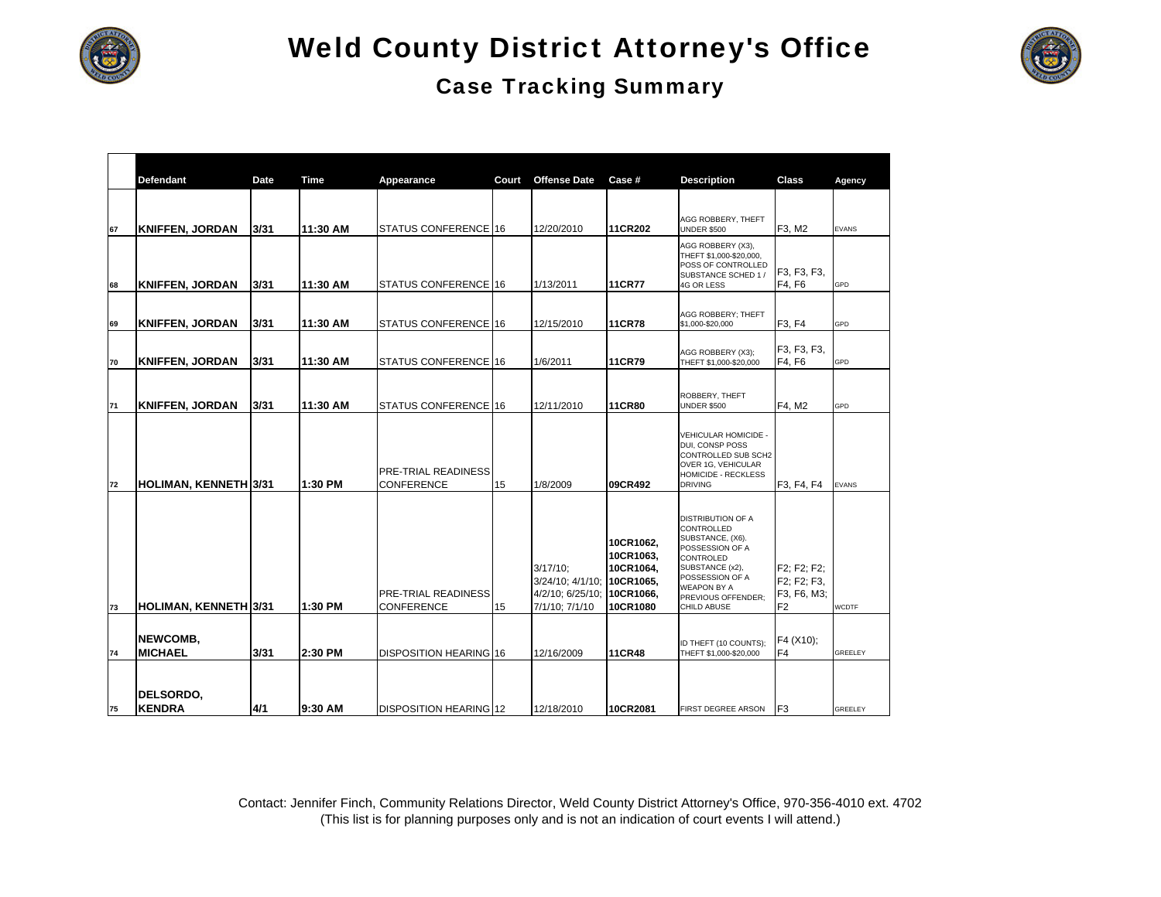



|    | <b>Defendant</b>           | Date | Time     | Appearance                                      | Court | <b>Offense Date</b>                                                   | Case #                                                                    | <b>Description</b>                                                                                                                                                                                 | Class                                                       | Agency         |
|----|----------------------------|------|----------|-------------------------------------------------|-------|-----------------------------------------------------------------------|---------------------------------------------------------------------------|----------------------------------------------------------------------------------------------------------------------------------------------------------------------------------------------------|-------------------------------------------------------------|----------------|
| 67 | <b>KNIFFEN, JORDAN</b>     | 3/31 | 11:30 AM | STATUS CONFERENCE 16                            |       | 12/20/2010                                                            | 11CR202                                                                   | AGG ROBBERY, THEFT<br><b>UNDER \$500</b>                                                                                                                                                           | F3, M2                                                      | <b>EVANS</b>   |
| 68 | <b>KNIFFEN, JORDAN</b>     | 3/31 | 11:30 AM | STATUS CONFERENCE 16                            |       | 1/13/2011                                                             | <b>11CR77</b>                                                             | AGG ROBBERY (X3),<br>THEFT \$1,000-\$20,000,<br>POSS OF CONTROLLED<br>SUBSTANCE SCHED 1 /<br>4G OR LESS                                                                                            | F3, F3, F3,<br>F4, F6                                       | GPD            |
| 69 | <b>KNIFFEN, JORDAN</b>     | 3/31 | 11:30 AM | STATUS CONFERENCE 16                            |       | 12/15/2010                                                            | <b>11CR78</b>                                                             | AGG ROBBERY; THEFT<br>\$1,000-\$20,000                                                                                                                                                             | F3, F4                                                      | GPD            |
| 70 | <b>KNIFFEN, JORDAN</b>     | 3/31 | 11:30 AM | STATUS CONFERENCE 16                            |       | 1/6/2011                                                              | <b>11CR79</b>                                                             | AGG ROBBERY (X3);<br>THEFT \$1,000-\$20,000                                                                                                                                                        | F3, F3, F3,<br>F4, F6                                       | GPD            |
| 71 | <b>KNIFFEN, JORDAN</b>     | 3/31 | 11:30 AM | STATUS CONFERENCE 16                            |       | 12/11/2010                                                            | <b>11CR80</b>                                                             | ROBBERY, THEFT<br><b>UNDER \$500</b>                                                                                                                                                               | F4, M2                                                      | GPD            |
| 72 | HOLIMAN, KENNETH 3/31      |      | 1:30 PM  | <b>PRE-TRIAL READINESS</b><br><b>CONFERENCE</b> | 15    | 1/8/2009                                                              | 09CR492                                                                   | VEHICULAR HOMICIDE -<br>DUI, CONSP POSS<br>CONTROLLED SUB SCH2<br>OVER 1G, VEHICULAR<br><b>HOMICIDE - RECKLESS</b><br><b>DRIVING</b>                                                               | F3, F4, F4                                                  | <b>EVANS</b>   |
| 73 | HOLIMAN, KENNETH 3/31      |      | 1:30 PM  | PRE-TRIAL READINESS<br><b>CONFERENCE</b>        | 15    | $3/17/10$ ;<br>3/24/10; 4/1/10;<br>4/2/10; 6/25/10;<br>7/1/10; 7/1/10 | 10CR1062,<br>10CR1063,<br>10CR1064.<br>10CR1065.<br>10CR1066,<br>10CR1080 | <b>DISTRIBUTION OF A</b><br>CONTROLLED<br>SUBSTANCE, (X6).<br>POSSESSION OF A<br>CONTROLED<br>SUBSTANCE (x2),<br>POSSESSION OF A<br><b>WEAPON BY A</b><br>PREVIOUS OFFENDER;<br><b>CHILD ABUSE</b> | F2; F2; F2;<br>F2; F2; F3,<br>F3, F6, M3;<br>F <sub>2</sub> | <b>WCDTF</b>   |
| 74 | NEWCOMB.<br><b>MICHAEL</b> | 3/31 | 2:30 PM  | DISPOSITION HEARING 16                          |       | 12/16/2009                                                            | <b>11CR48</b>                                                             | ID THEFT (10 COUNTS);                                                                                                                                                                              | F4 (X10);<br>F4                                             | <b>GREELEY</b> |
| 75 | DELSORDO,<br><b>KENDRA</b> | 4/1  | l9:30 AM | <b>DISPOSITION HEARING 12</b>                   |       | 12/18/2010                                                            | 10CR2081                                                                  | THEFT \$1,000-\$20,000<br>FIRST DEGREE ARSON                                                                                                                                                       | IF <sub>3</sub>                                             | <b>GREELEY</b> |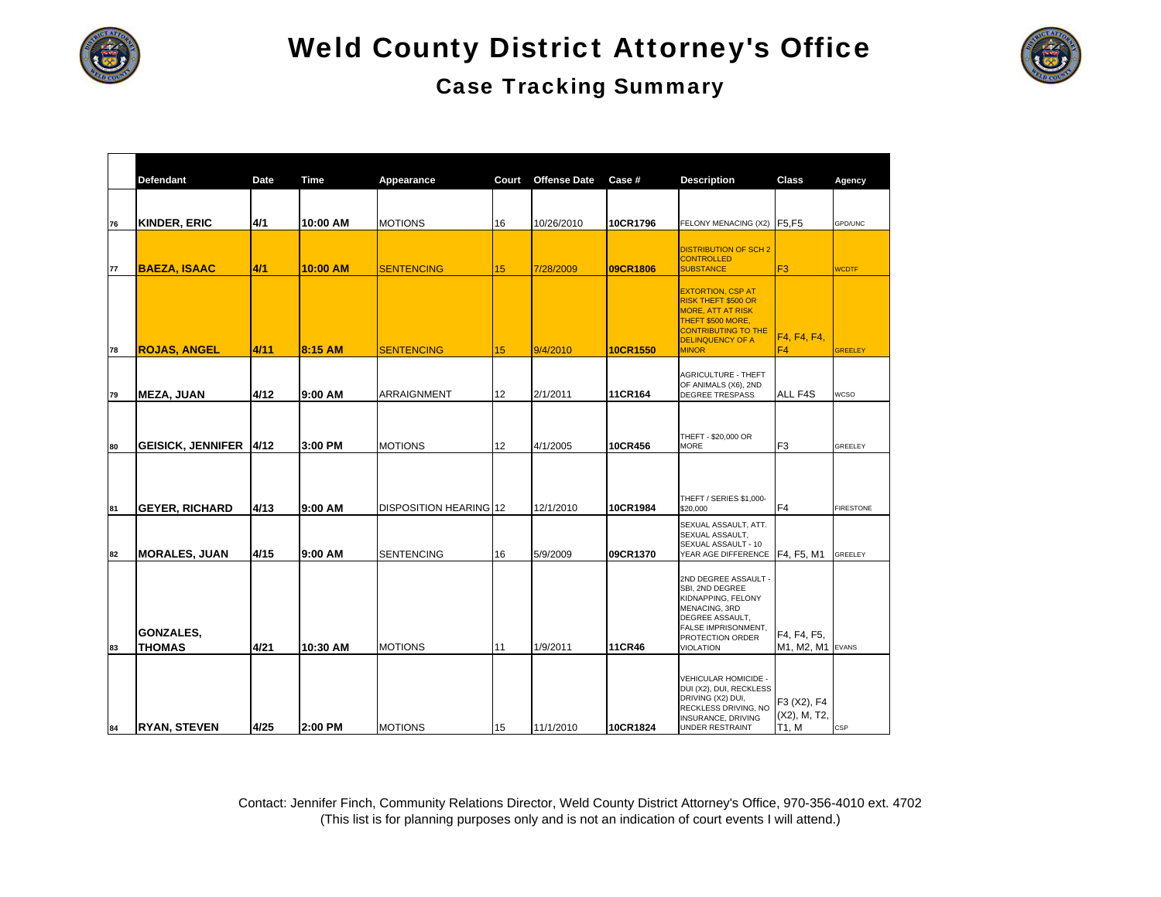



|    | <b>Defendant</b>                  | Date | <b>Time</b> | Appearance             | Court | <b>Offense Date</b> | Case #        | <b>Description</b>                                                                                                                                                               | <b>Class</b>                         | Agency           |
|----|-----------------------------------|------|-------------|------------------------|-------|---------------------|---------------|----------------------------------------------------------------------------------------------------------------------------------------------------------------------------------|--------------------------------------|------------------|
|    |                                   |      |             |                        |       |                     |               |                                                                                                                                                                                  |                                      |                  |
| 76 | <b>KINDER, ERIC</b>               | 4/1  | 10:00 AM    | <b>MOTIONS</b>         | 16    | 10/26/2010          | 10CR1796      | FELONY MENACING (X2) F5,F5                                                                                                                                                       |                                      | GPD/UNC          |
| 77 | <b>BAEZA, ISAAC</b>               | 4/1  | 10:00 AM    | <b>SENTENCING</b>      | 15    | 7/28/2009           | 09CR1806      | <b>DISTRIBUTION OF SCH 2</b><br><b>CONTROLLED</b><br><b>SUBSTANCE</b>                                                                                                            | F <sub>3</sub>                       | <b>WCDTF</b>     |
| 78 | <b>ROJAS, ANGEL</b>               | 4/11 | 8:15 AM     | <b>SENTENCING</b>      | 15    | 9/4/2010            | 10CR1550      | <b>EXTORTION, CSP AT</b><br><b>RISK THEFT \$500 OR</b><br><b>MORE, ATT AT RISK</b><br>THEFT \$500 MORE,<br><b>CONTRIBUTING TO THE</b><br><b>DELINQUENCY OF A</b><br><b>MINOR</b> | F4, F4, F4,<br>F4                    | <b>GREELEY</b>   |
|    |                                   |      |             |                        |       |                     |               | AGRICULTURE - THEFT                                                                                                                                                              |                                      |                  |
| 79 | <b>MEZA, JUAN</b>                 | 4/12 | 9:00 AM     | <b>ARRAIGNMENT</b>     | 12    | 2/1/2011            | 11CR164       | OF ANIMALS (X6), 2ND<br><b>DEGREE TRESPASS</b>                                                                                                                                   | ALL F4S                              | <b>WCSO</b>      |
| 80 | <b>GEISICK, JENNIFER</b>          | 4/12 | 3:00 PM     | <b>MOTIONS</b>         | 12    | 4/1/2005            | 10CR456       | THEFT - \$20,000 OR<br>MORE                                                                                                                                                      | F <sub>3</sub>                       | GREELEY          |
| 81 | <b>GEYER, RICHARD</b>             | 4/13 | 9:00 AM     | DISPOSITION HEARING 12 |       | 12/1/2010           | 10CR1984      | <b>THEFT / SERIES \$1,000-</b><br>\$20,000                                                                                                                                       | F4                                   | <b>FIRESTONE</b> |
| 82 | <b>MORALES, JUAN</b>              | 4/15 | 9:00 AM     | <b>SENTENCING</b>      | 16    | 5/9/2009            | 09CR1370      | SEXUAL ASSAULT, ATT.<br>SEXUAL ASSAULT,<br>SEXUAL ASSAULT - 10<br>YEAR AGE DIFFERENCE F4, F5, M1                                                                                 |                                      | GREELEY          |
| 83 | <b>GONZALES,</b><br><b>THOMAS</b> | 4/21 | 10:30 AM    | <b>MOTIONS</b>         | 11    | 1/9/2011            | <b>11CR46</b> | 2ND DEGREE ASSAULT -<br>SBI, 2ND DEGREE<br>KIDNAPPING, FELONY<br><b>MENACING, 3RD</b><br>DEGREE ASSAULT,<br>FALSE IMPRISONMENT,<br>PROTECTION ORDER<br><b>VIOLATION</b>          | F4, F4, F5,<br>M1, M2, M1            | <b>EVANS</b>     |
| 84 | <b>RYAN, STEVEN</b>               | 4/25 | 2:00 PM     | <b>MOTIONS</b>         | 15    | 11/1/2010           | 10CR1824      | VEHICULAR HOMICIDE -<br>DUI (X2), DUI, RECKLESS<br>DRIVING (X2) DUI,<br>RECKLESS DRIVING, NO<br>INSURANCE, DRIVING<br><b>UNDER RESTRAINT</b>                                     | F3 (X2), F4<br>(X2), M, T2,<br>T1, M | CSP              |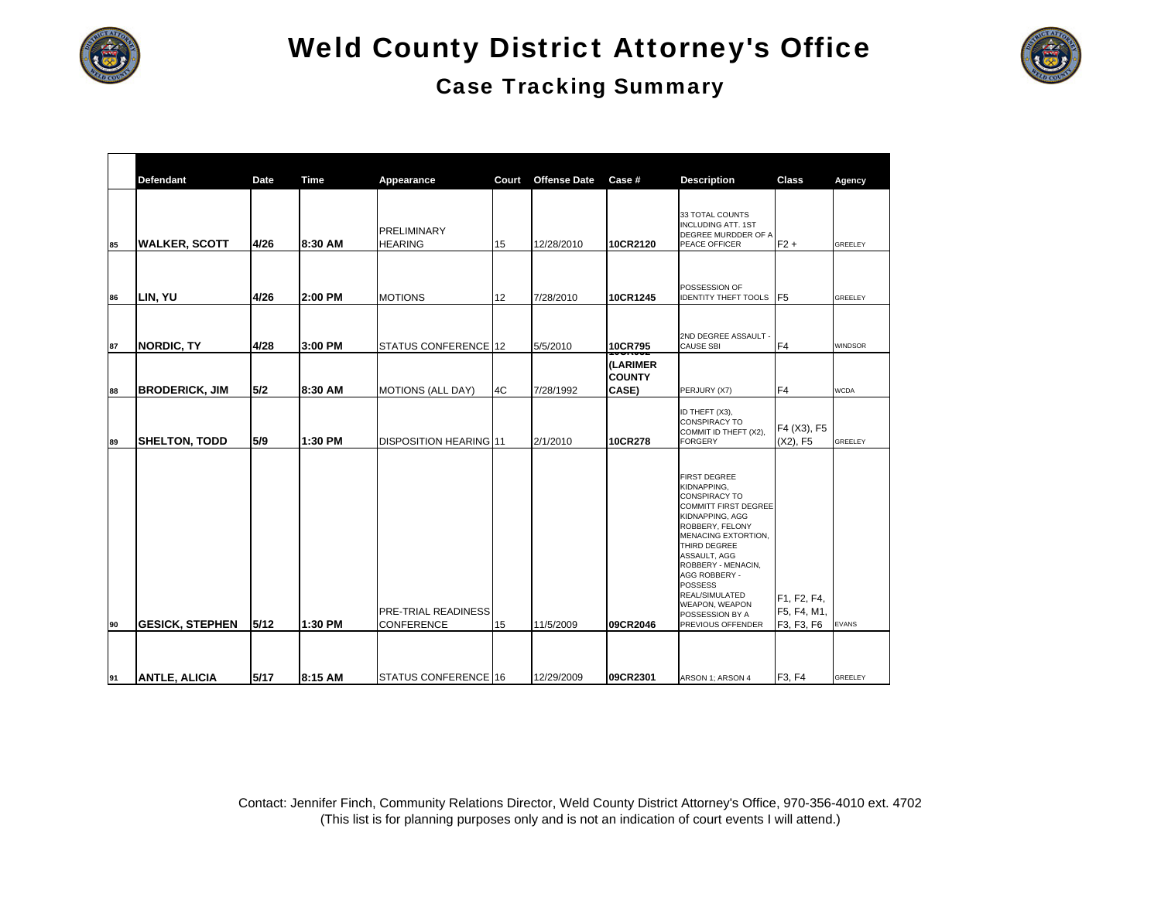



|    | <b>Defendant</b>       | <b>Date</b> | <b>Time</b> | Appearance                                      | Court | <b>Offense Date</b> | Case #                             | <b>Description</b>                                                                                                                                                                                                                                                                                                   | <b>Class</b>                             | Agency         |
|----|------------------------|-------------|-------------|-------------------------------------------------|-------|---------------------|------------------------------------|----------------------------------------------------------------------------------------------------------------------------------------------------------------------------------------------------------------------------------------------------------------------------------------------------------------------|------------------------------------------|----------------|
| 85 | <b>WALKER, SCOTT</b>   | 4/26        | 8:30 AM     | PRELIMINARY<br><b>HEARING</b>                   | 15    | 12/28/2010          | 10CR2120                           | 33 TOTAL COUNTS<br><b>INCLUDING ATT. 1ST</b><br>DEGREE MURDDER OF A<br>PEACE OFFICER                                                                                                                                                                                                                                 | $F2 +$                                   | GREELEY        |
| 86 | LIN, YU                | 4/26        | 2:00 PM     | <b>MOTIONS</b>                                  | 12    | 7/28/2010           | 10CR1245                           | POSSESSION OF<br><b>IDENTITY THEFT TOOLS F5</b>                                                                                                                                                                                                                                                                      |                                          | GREELEY        |
| 87 | NORDIC, TY             | 4/28        | 3:00 PM     | STATUS CONFERENCE 12                            |       | 5/5/2010            | 10CR795<br>๛๛๛                     | 2ND DEGREE ASSAULT<br><b>CAUSE SBI</b>                                                                                                                                                                                                                                                                               | F <sub>4</sub>                           | <b>WINDSOR</b> |
| 88 | <b>BRODERICK, JIM</b>  | 5/2         | 8:30 AM     | <b>MOTIONS (ALL DAY)</b>                        | 4C    | 7/28/1992           | (LARIMER<br><b>COUNTY</b><br>CASE) | PERJURY (X7)                                                                                                                                                                                                                                                                                                         | F <sub>4</sub>                           | <b>WCDA</b>    |
| 89 | <b>SHELTON, TODD</b>   | 5/9         | 1:30 PM     | <b>DISPOSITION HEARING 11</b>                   |       | 2/1/2010            | 10CR278                            | ID THEFT (X3),<br><b>CONSPIRACY TO</b><br>COMMIT ID THEFT (X2),<br><b>FORGERY</b>                                                                                                                                                                                                                                    | F4 (X3), F5<br>(X2), F5                  | GREELEY        |
| 90 | <b>GESICK, STEPHEN</b> | 5/12        | 1:30 PM     | <b>PRE-TRIAL READINESS</b><br><b>CONFERENCE</b> | 15    | 11/5/2009           | 09CR2046                           | <b>FIRST DEGREE</b><br>KIDNAPPING,<br>CONSPIRACY TO<br><b>COMMITT FIRST DEGREE</b><br>KIDNAPPING, AGG<br>ROBBERY, FELONY<br>MENACING EXTORTION,<br>THIRD DEGREE<br>ASSAULT, AGG<br>ROBBERY - MENACIN,<br>AGG ROBBERY -<br><b>POSSESS</b><br>REAL/SIMULATED<br>WEAPON, WEAPON<br>POSSESSION BY A<br>PREVIOUS OFFENDER | F1, F2, F4,<br>F5, F4, M1,<br>F3, F3, F6 | <b>EVANS</b>   |
|    |                        |             |             |                                                 |       |                     |                                    |                                                                                                                                                                                                                                                                                                                      |                                          |                |
| 91 | <b>ANTLE, ALICIA</b>   | 5/17        | 8:15 AM     | STATUS CONFERENCE 16                            |       | 12/29/2009          | 09CR2301                           | ARSON 1; ARSON 4                                                                                                                                                                                                                                                                                                     | F3. F4                                   | <b>GREELEY</b> |